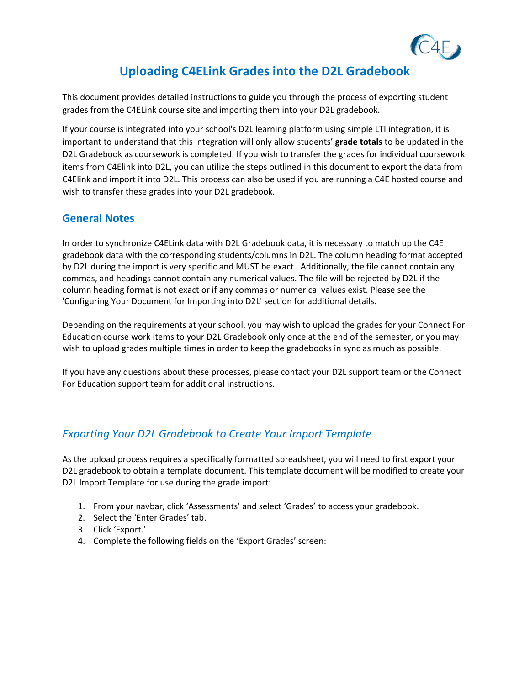

# **Uploading C4ELink Grades into the D2L Gradebook**

This document provides detailed instructions to guide you through the process of exporting student grades from the C4ELink course site and importing them into your D2L gradebook.

If your course is integrated into your school's D2L learning platform using simple LTI integration, it is important to understand that this integration will only allow students' **grade totals** to be updated in the D2L Gradebook as coursework is completed. If you wish to transfer the grades for individual coursework items from C4Elink into D2L, you can utilize the steps outlined in this document to export the data from C4Elink and import it into D2L. This process can also be used if you are running a C4E hosted course and wish to transfer these grades into your D2L gradebook.

#### **General Notes**

In order to synchronize C4ELink data with D2L Gradebook data, it is necessary to match up the C4E gradebook data with the corresponding students/columns in D2L. The column heading format accepted by D2L during the import is very specific and MUST be exact. Additionally, the file cannot contain any commas, and headings cannot contain any numerical values. The file will be rejected by D2L if the column heading format is not exact or if any commas or numerical values exist. Please see the 'Configuring Your Document for Importing into D2L' section for additional details.

Depending on the requirements at your school, you may wish to upload the grades for your Connect For Education course work items to your D2L Gradebook only once at the end of the semester, or you may wish to upload grades multiple times in order to keep the gradebooks in sync as much as possible.

If you have any questions about these processes, please contact your D2L support team or the Connect For Education support team for additional instructions.

# *Exporting Your D2L Gradebook to Create Your Import Template*

As the upload process requires a specifically formatted spreadsheet, you will need to first export your D2L gradebook to obtain a template document. This template document will be modified to create your D2L Import Template for use during the grade import:

- 1. From your navbar, click 'Assessments' and select 'Grades' to access your gradebook.
- 2. Select the 'Enter Grades' tab.
- 3. Click 'Export.'
- 4. Complete the following fields on the 'Export Grades' screen: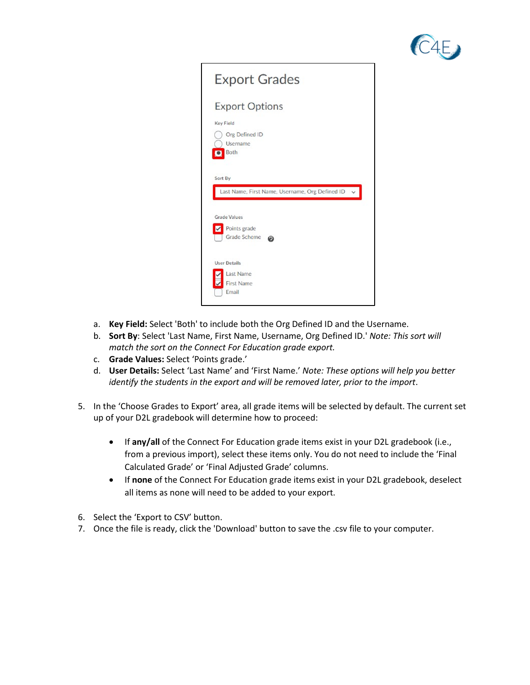



- a. **Key Field:** Select 'Both' to include both the Org Defined ID and the Username.
- b. **Sort By**: Select 'Last Name, First Name, Username, Org Defined ID.' *Note: This sort will match the sort on the Connect For Education grade export.*
- c. **Grade Values:** Select 'Points grade.'
- d. **User Details:** Select 'Last Name' and 'First Name.' *Note: These options will help you better identify the students in the export and will be removed later, prior to the import*.
- 5. In the 'Choose Grades to Export' area, all grade items will be selected by default. The current set up of your D2L gradebook will determine how to proceed:
	- If **any/all** of the Connect For Education grade items exist in your D2L gradebook (i.e., from a previous import), select these items only. You do not need to include the 'Final Calculated Grade' or 'Final Adjusted Grade' columns.
	- If **none** of the Connect For Education grade items exist in your D2L gradebook, deselect all items as none will need to be added to your export.
- 6. Select the 'Export to CSV' button.
- 7. Once the file is ready, click the 'Download' button to save the .csv file to your computer.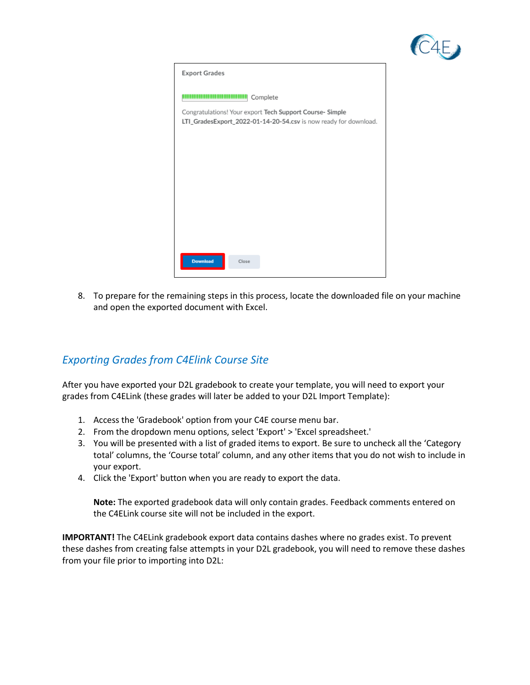

| <b>Export Grades</b>                                                                                                                                      |
|-----------------------------------------------------------------------------------------------------------------------------------------------------------|
| Complete<br>والمراتب بالا<br>Congratulations! Your export Tech Support Course- Simple<br>LTI_GradesExport_2022-01-14-20-54.csv is now ready for download. |
|                                                                                                                                                           |
|                                                                                                                                                           |
|                                                                                                                                                           |
|                                                                                                                                                           |
| <b>Download</b><br>Close                                                                                                                                  |

8. To prepare for the remaining steps in this process, locate the downloaded file on your machine and open the exported document with Excel.

# *Exporting Grades from C4Elink Course Site*

After you have exported your D2L gradebook to create your template, you will need to export your grades from C4ELink (these grades will later be added to your D2L Import Template):

- 1. Access the 'Gradebook' option from your C4E course menu bar.
- 2. From the dropdown menu options, select 'Export' > 'Excel spreadsheet.'
- 3. You will be presented with a list of graded items to export. Be sure to uncheck all the 'Category total' columns, the 'Course total' column, and any other items that you do not wish to include in your export.
- 4. Click the 'Export' button when you are ready to export the data.

**Note:** The exported gradebook data will only contain grades. Feedback comments entered on the C4ELink course site will not be included in the export.

**IMPORTANT!** The C4ELink gradebook export data contains dashes where no grades exist. To prevent these dashes from creating false attempts in your D2L gradebook, you will need to remove these dashes from your file prior to importing into D2L: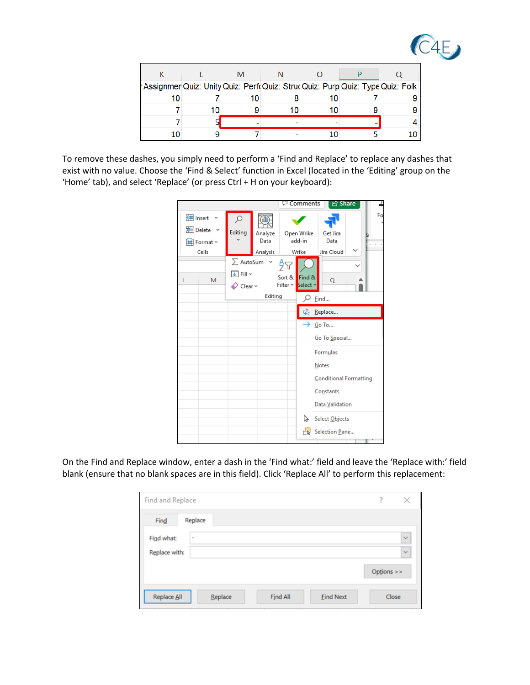

| Assignmer Quiz: Unity Quiz: Perf Quiz: Stru Quiz: Purp Quiz: Type Quiz: Folk |    |    |  |
|------------------------------------------------------------------------------|----|----|--|
| 10                                                                           | 10 | 10 |  |
|                                                                              |    | 10 |  |
|                                                                              |    |    |  |
| 10                                                                           |    |    |  |

To remove these dashes, you simply need to perform a 'Find and Replace' to replace any dashes that exist with no value. Choose the 'Find & Select' function in Excel (located in the 'Editing' group on the 'Home' tab), and select 'Replace' (or press Ctrl + H on your keyboard):

|                                                                       |                                                      |                             | <b>□</b> Comments                             | <b>B</b> Share                                         | £       |
|-----------------------------------------------------------------------|------------------------------------------------------|-----------------------------|-----------------------------------------------|--------------------------------------------------------|---------|
| <b>建</b> Insert<br>$\frac{1}{2}$ Delete $\sim$<br>自 Format ~<br>Cells | $\varphi$<br>Editing                                 | Analyze<br>Data<br>Analysis | Open Wrike<br>add-in<br>Wrike                 | Get Jira<br>Data<br>Jira Cloud                         | Fo<br>Υ |
| L<br>M                                                                | $\sum$ AutoSum<br>√ Fill ~<br>$\oslash$ Clear $\sim$ | Editing                     | Sort &<br>Find &<br>Select ×<br>Filter $\sim$ | $\circ$<br>Find                                        |         |
|                                                                       |                                                      |                             | ςb.                                           | Replace                                                |         |
|                                                                       |                                                      |                             |                                               | $\rightarrow$ Go To<br>Go To Special                   |         |
|                                                                       |                                                      |                             |                                               | Formulas<br>Notes                                      |         |
|                                                                       |                                                      |                             |                                               | Conditional Formatting<br>Constants<br>Data Validation |         |
|                                                                       |                                                      |                             | ピ                                             | Select Objects<br>Belection Pane                       |         |
|                                                                       |                                                      |                             |                                               |                                                        |         |

On the Find and Replace window, enter a dash in the 'Find what:' field and leave the 'Replace with:' field blank (ensure that no blank spaces are in this field). Click 'Replace All' to perform this replacement:

| Find and Replace |                                         | 7           | $\times$     |
|------------------|-----------------------------------------|-------------|--------------|
| Find             | Replace                                 |             |              |
| Find what:       | ۰                                       |             | $\checkmark$ |
| Replace with:    |                                         |             | $\checkmark$ |
|                  |                                         | Options $>$ |              |
| Replace All      | Replace<br>Find All<br><b>Eind Next</b> | Close       |              |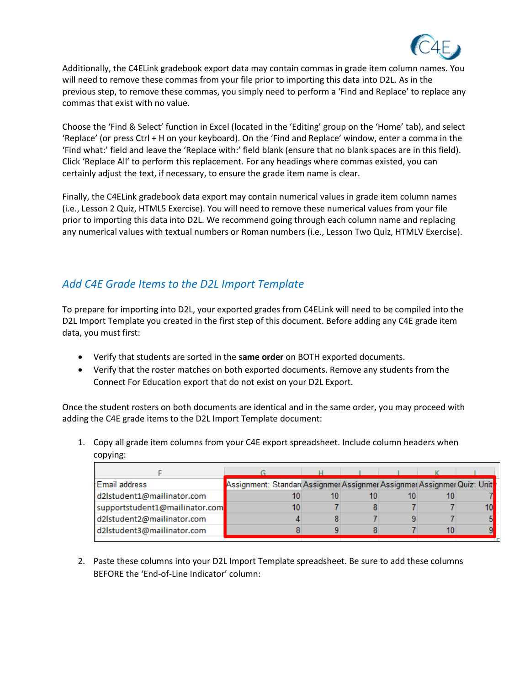

Additionally, the C4ELink gradebook export data may contain commas in grade item column names. You will need to remove these commas from your file prior to importing this data into D2L. As in the previous step, to remove these commas, you simply need to perform a 'Find and Replace' to replace any commas that exist with no value.

Choose the 'Find & Select' function in Excel (located in the 'Editing' group on the 'Home' tab), and select 'Replace' (or press Ctrl + H on your keyboard). On the 'Find and Replace' window, enter a comma in the 'Find what:' field and leave the 'Replace with:' field blank (ensure that no blank spaces are in this field). Click 'Replace All' to perform this replacement. For any headings where commas existed, you can certainly adjust the text, if necessary, to ensure the grade item name is clear.

Finally, the C4ELink gradebook data export may contain numerical values in grade item column names (i.e., Lesson 2 Quiz, HTML5 Exercise). You will need to remove these numerical values from your file prior to importing this data into D2L. We recommend going through each column name and replacing any numerical values with textual numbers or Roman numbers (i.e., Lesson Two Quiz, HTMLV Exercise).

# *Add C4E Grade Items to the D2L Import Template*

To prepare for importing into D2L, your exported grades from C4ELink will need to be compiled into the D2L Import Template you created in the first step of this document. Before adding any C4E grade item data, you must first:

- Verify that students are sorted in the **same order** on BOTH exported documents.
- Verify that the roster matches on both exported documents. Remove any students from the Connect For Education export that do not exist on your D2L Export.

Once the student rosters on both documents are identical and in the same order, you may proceed with adding the C4E grade items to the D2L Import Template document:

1. Copy all grade item columns from your C4E export spreadsheet. Include column headers when copying:

| Email address                  | Assignment: Standard Assignmer Assignmer Assignmer Assignmer Quiz: Unit |  |  |  |
|--------------------------------|-------------------------------------------------------------------------|--|--|--|
| d2lstudent1@mailinator.com     |                                                                         |  |  |  |
| supportstudent1@mailinator.com |                                                                         |  |  |  |
| d2lstudent2@mailinator.com     |                                                                         |  |  |  |
| d2lstudent3@mailinator.com     |                                                                         |  |  |  |

2. Paste these columns into your D2L Import Template spreadsheet. Be sure to add these columns BEFORE the 'End-of-Line Indicator' column: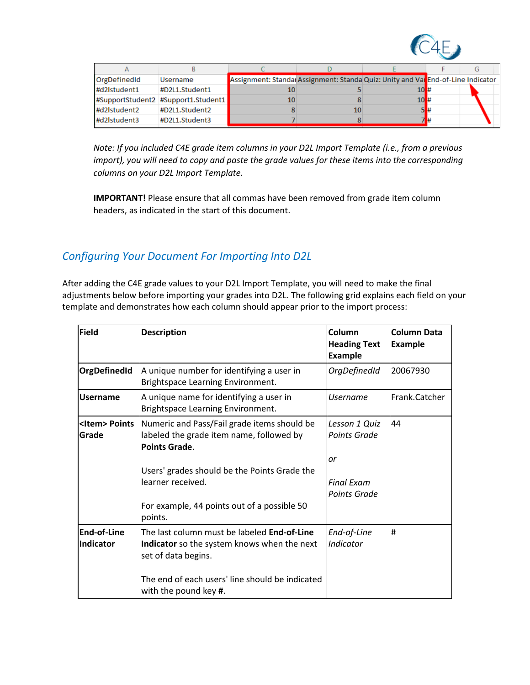

| OrgDefinedId | <b>Username</b>                     | Assignment: Standar Assignment: Standa Quiz: Unity and Var End-of-Line Indicator |    |         |     |  |
|--------------|-------------------------------------|----------------------------------------------------------------------------------|----|---------|-----|--|
| #d2lstudent1 | #D2L1.Student1                      | 10                                                                               |    | 10H#    |     |  |
|              | #SupportStudent2 #Support1.Student1 | 10                                                                               |    | $10H$ # |     |  |
| #d2lstudent2 | #D2L1.Student2                      |                                                                                  | 10 |         | 58# |  |
| #d2lstudent3 | #D2L1.Student3                      |                                                                                  |    |         |     |  |

*Note: If you included C4E grade item columns in your D2L Import Template (i.e., from a previous import), you will need to copy and paste the grade values for these items into the corresponding columns on your D2L Import Template.*

**IMPORTANT!** Please ensure that all commas have been removed from grade item column headers, as indicated in the start of this document.

# *Configuring Your Document For Importing Into D2L*

After adding the C4E grade values to your D2L Import Template, you will need to make the final adjustments below before importing your grades into D2L. The following grid explains each field on your template and demonstrates how each column should appear prior to the import process:

| <b>Field</b>                    | <b>Description</b>                                                                                                       | lColumn<br><b>Heading Text</b><br><b>Example</b> | <b>Column Data</b><br><b>Example</b> |
|---------------------------------|--------------------------------------------------------------------------------------------------------------------------|--------------------------------------------------|--------------------------------------|
| OrgDefinedId                    | A unique number for identifying a user in<br>Brightspace Learning Environment.                                           | OrgDefinedId                                     | 20067930                             |
| <b>Username</b>                 | A unique name for identifying a user in<br><b>Brightspace Learning Environment.</b>                                      | <i><u><b>Username</b></u></i>                    | Frank.Catcher                        |
| <ltem> Points<br/>lGrade</ltem> | Numeric and Pass/Fail grade items should be<br>labeled the grade item name, followed by<br>Points Grade.                 | Lesson 1 Quiz<br><b>Points Grade</b>             | 44                                   |
|                                 | Users' grades should be the Points Grade the<br>learner received.<br>For example, 44 points out of a possible 50         | <b>or</b><br>lFinal Exam<br><b>Points Grade</b>  |                                      |
|                                 | points.                                                                                                                  |                                                  |                                      |
| <b>End-of-Line</b><br>Indicator | The last column must be labeled <b>End-of-Line</b><br>Indicator so the system knows when the next<br>set of data begins. | End-of-Line<br>Indicator                         | #                                    |
|                                 | The end of each users' line should be indicated<br>with the pound key #.                                                 |                                                  |                                      |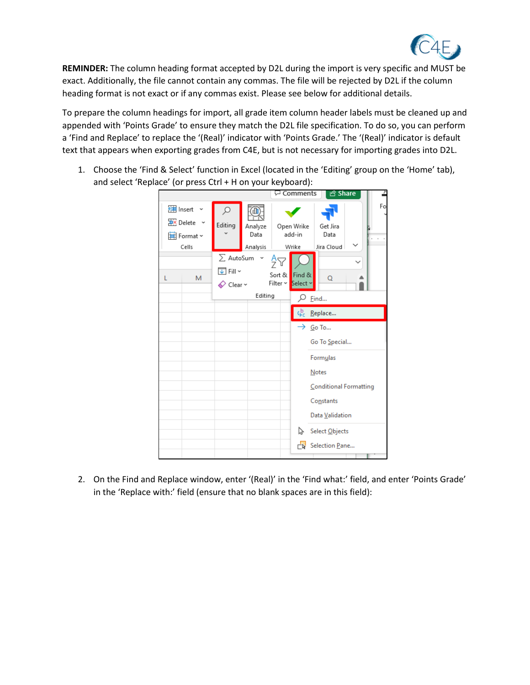

**REMINDER:** The column heading format accepted by D2L during the import is very specific and MUST be exact. Additionally, the file cannot contain any commas. The file will be rejected by D2L if the column heading format is not exact or if any commas exist. Please see below for additional details.

To prepare the column headings for import, all grade item column header labels must be cleaned up and appended with 'Points Grade' to ensure they match the D2L file specification. To do so, you can perform a 'Find and Replace' to replace the '(Real)' indicator with 'Points Grade.' The '(Real)' indicator is default text that appears when exporting grades from C4E, but is not necessary for importing grades into D2L.

1. Choose the 'Find & Select' function in Excel (located in the 'Editing' group on the 'Home' tab), and select 'Replace' (or press Ctrl + H on your keyboard):

|                                                                     |                                                           |                             |                          | <b><del>□</del></b> Comments  | <u>පි</u> Share                      | f  |
|---------------------------------------------------------------------|-----------------------------------------------------------|-----------------------------|--------------------------|-------------------------------|--------------------------------------|----|
| <b>建</b> Insert<br>$\frac{1}{2}$ Delete $\sim$<br>Format ~<br>Cells | ₽<br>Editing                                              | Analyze<br>Data<br>Analysis |                          | Open Wrike<br>add-in<br>Wrike | Get Jira<br>Data<br>Jira Cloud       | Fo |
| M<br>L                                                              | $\sum$ AutoSum<br>√ Fill ∼<br>$\diamondsuit$ Clear $\sim$ | Editing                     | 'n<br>Sort &<br>Filter ~ | Find &<br>Select ×            | Q<br>Find                            |    |
|                                                                     |                                                           |                             |                          | ςb <sub>ε</sub>               | Replace                              |    |
|                                                                     |                                                           |                             |                          |                               | $\rightarrow$ Go To<br>Go To Special |    |
|                                                                     |                                                           |                             |                          |                               | Formulas<br>Notes                    |    |
|                                                                     |                                                           |                             |                          |                               | Conditional Formatting               |    |
|                                                                     |                                                           |                             |                          |                               | Constants                            |    |
|                                                                     |                                                           |                             |                          |                               | Data Validation                      |    |
|                                                                     |                                                           |                             |                          | グ                             | Select Objects                       |    |
|                                                                     |                                                           |                             |                          | ⊢⊾                            | Selection Pane                       |    |

2. On the Find and Replace window, enter '(Real)' in the 'Find what:' field, and enter 'Points Grade' in the 'Replace with:' field (ensure that no blank spaces are in this field):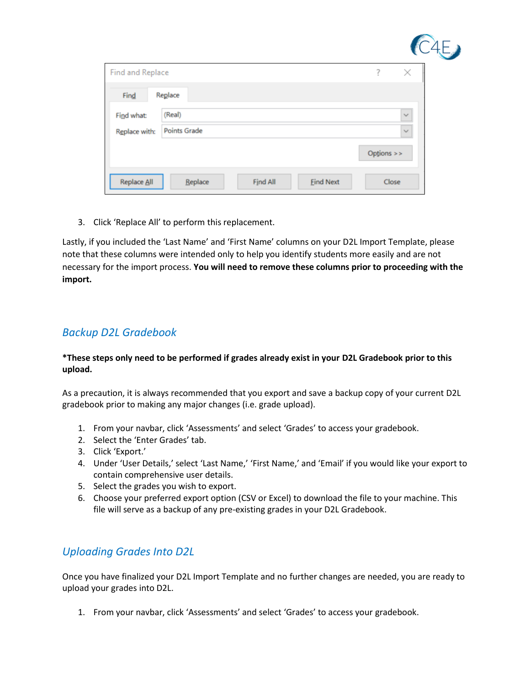| Find and Replace |                     |                 |                  | 7          | $\times$     |  |
|------------------|---------------------|-----------------|------------------|------------|--------------|--|
| Find             | Replace             |                 |                  |            |              |  |
| Find what:       | (Real)              |                 |                  |            | $\checkmark$ |  |
| Replace with:    | <b>Points Grade</b> |                 |                  |            | $\checkmark$ |  |
|                  |                     |                 |                  | Options >> |              |  |
| Replace All      | Replace             | <b>Find All</b> | <b>Eind Next</b> | Close      |              |  |

3. Click 'Replace All' to perform this replacement.

Lastly, if you included the 'Last Name' and 'First Name' columns on your D2L Import Template, please note that these columns were intended only to help you identify students more easily and are not necessary for the import process. **You will need to remove these columns prior to proceeding with the import.**

#### *Backup D2L Gradebook*

#### **\*These steps only need to be performed if grades already exist in your D2L Gradebook prior to this upload.**

As a precaution, it is always recommended that you export and save a backup copy of your current D2L gradebook prior to making any major changes (i.e. grade upload).

- 1. From your navbar, click 'Assessments' and select 'Grades' to access your gradebook.
- 2. Select the 'Enter Grades' tab.
- 3. Click 'Export.'
- 4. Under 'User Details,' select 'Last Name,' 'First Name,' and 'Email' if you would like your export to contain comprehensive user details.
- 5. Select the grades you wish to export.
- 6. Choose your preferred export option (CSV or Excel) to download the file to your machine. This file will serve as a backup of any pre-existing grades in your D2L Gradebook.

#### *Uploading Grades Into D2L*

Once you have finalized your D2L Import Template and no further changes are needed, you are ready to upload your grades into D2L.

1. From your navbar, click 'Assessments' and select 'Grades' to access your gradebook.